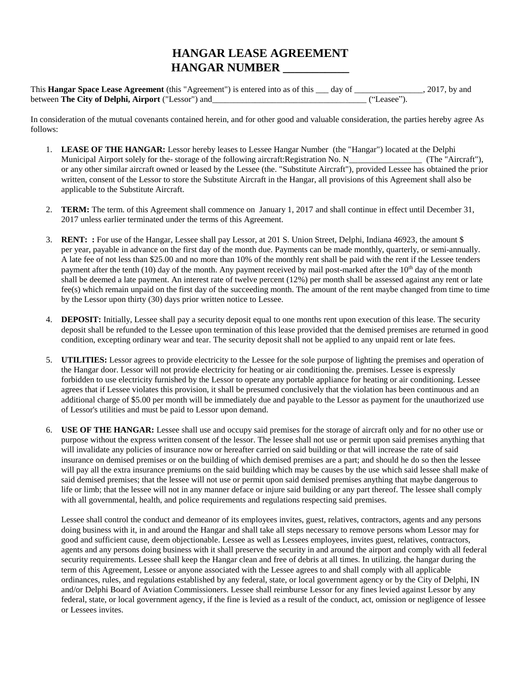## **HANGAR LEASE AGREEMENT HANGAR NUMBER \_\_\_\_\_\_\_\_\_\_\_**

This **Hangar Space Lease Agreement** (this "Agreement") is entered into as of this \_\_\_ day of \_\_\_\_\_\_\_\_\_\_\_\_\_\_\_\_, 2017, by and between **The City of Delphi, Airport** ("Lessor") and\_\_\_\_\_\_\_\_\_\_\_\_\_\_\_\_\_\_\_\_\_\_\_\_\_\_\_\_\_\_\_\_\_\_\_\_ ("Leasee").

In consideration of the mutual covenants contained herein, and for other good and valuable consideration, the parties hereby agree As follows:

- 1. **LEASE OF THE HANGAR:** Lessor hereby leases to Lessee Hangar Number (the "Hangar") located at the Delphi Municipal Airport solely for the- storage of the following aircraft:Registration No. N\_\_\_\_\_\_\_\_\_\_\_\_\_\_\_\_\_ (The "Aircraft"), or any other similar aircraft owned or leased by the Lessee (the. "Substitute Aircraft"), provided Lessee has obtained the prior written, consent of the Lessor to store the Substitute Aircraft in the Hangar, all provisions of this Agreement shall also be applicable to the Substitute Aircraft.
- 2. **TERM:** The term. of this Agreement shall commence on January 1, 2017 and shall continue in effect until December 31, 2017 unless earlier terminated under the terms of this Agreement.
- 3. **RENT: :** For use of the Hangar, Lessee shall pay Lessor, at 201 S. Union Street, Delphi, Indiana 46923, the amount \$ per year, payable in advance on the first day of the month due. Payments can be made monthly, quarterly, or semi-annually. A late fee of not less than \$25.00 and no more than 10% of the monthly rent shall be paid with the rent if the Lessee tenders payment after the tenth (10) day of the month. Any payment received by mail post-marked after the  $10<sup>th</sup>$  day of the month shall be deemed a late payment. An interest rate of twelve percent (12%) per month shall be assessed against any rent or late fee(s) which remain unpaid on the first day of the succeeding month. The amount of the rent maybe changed from time to time by the Lessor upon thirty (30) days prior written notice to Lessee.
- 4. **DEPOSIT:** Initially, Lessee shall pay a security deposit equal to one months rent upon execution of this lease. The security deposit shall be refunded to the Lessee upon termination of this lease provided that the demised premises are returned in good condition, excepting ordinary wear and tear. The security deposit shall not be applied to any unpaid rent or late fees.
- 5. **UTILITIES:** Lessor agrees to provide electricity to the Lessee for the sole purpose of lighting the premises and operation of the Hangar door. Lessor will not provide electricity for heating or air conditioning the. premises. Lessee is expressly forbidden to use electricity furnished by the Lessor to operate any portable appliance for heating or air conditioning. Lessee agrees that if Lessee violates this provision, it shall be presumed conclusively that the violation has been continuous and an additional charge of \$5.00 per month will be immediately due and payable to the Lessor as payment for the unauthorized use of Lessor's utilities and must be paid to Lessor upon demand.
- 6. **USE OF THE HANGAR:** Lessee shall use and occupy said premises for the storage of aircraft only and for no other use or purpose without the express written consent of the lessor. The lessee shall not use or permit upon said premises anything that will invalidate any policies of insurance now or hereafter carried on said building or that will increase the rate of said insurance on demised premises or on the building of which demised premises are a part; and should he do so then the lessee will pay all the extra insurance premiums on the said building which may be causes by the use which said lessee shall make of said demised premises; that the lessee will not use or permit upon said demised premises anything that maybe dangerous to life or limb; that the lessee will not in any manner deface or injure said building or any part thereof. The lessee shall comply with all governmental, health, and police requirements and regulations respecting said premises.

Lessee shall control the conduct and demeanor of its employees invites, guest, relatives, contractors, agents and any persons doing business with it, in and around the Hangar and shall take all steps necessary to remove persons whom Lessor may for good and sufficient cause, deem objectionable. Lessee as well as Lessees employees, invites guest, relatives, contractors, agents and any persons doing business with it shall preserve the security in and around the airport and comply with all federal security requirements. Lessee shall keep the Hangar clean and free of debris at all times. In utilizing. the hangar during the term of this Agreement, Lessee or anyone associated with the Lessee agrees to and shall comply with all applicable ordinances, rules, and regulations established by any federal, state, or local government agency or by the City of Delphi, IN and/or Delphi Board of Aviation Commissioners. Lessee shall reimburse Lessor for any fines levied against Lessor by any federal, state, or local government agency, if the fine is levied as a result of the conduct, act, omission or negligence of lessee or Lessees invites.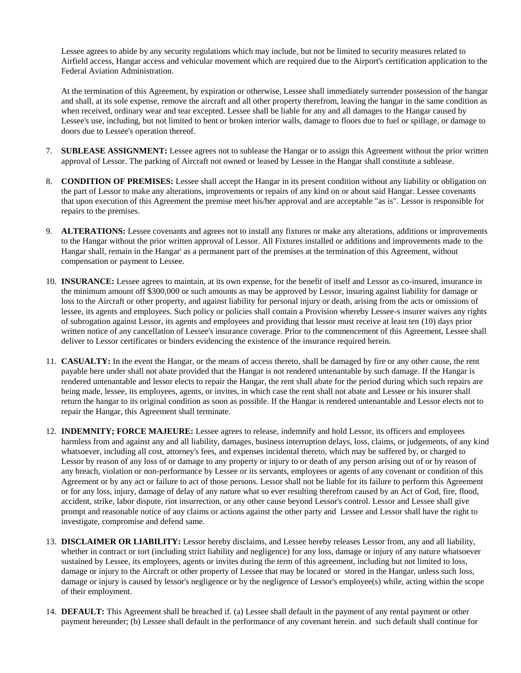Lessee agrees to abide by any security regulations which may include, but not be limited to security measures related to Airfield access, Hangar access and vehicular movement which are required due to the Airport's certification application to the Federal Aviation Administration.

At the termination of this Agreement, by expiration or otherwise, Lessee shall immediately surrender possession of the hangar and shall, at its sole expense, remove the aircraft and all other property therefrom, leaving the hangar in the same condition as when received, ordinary wear and tear excepted. Lessee shall be liable for any and all damages to the Hangar caused by Lessee's use, including, but not limited to bent or broken interior walls, damage to floors due to fuel or spillage, or damage to doors due to Lessee's operation thereof.

- 7. **SUBLEASE ASSIGNMENT:** Lessee agrees not to sublease the Hangar or to assign this Agreement without the prior written approval of Lessor. The parking of Aircraft not owned or leased by Lessee in the Hangar shall constitute a sublease.
- 8. **CONDITION OF PREMISES:** Lessee shall accept the Hangar in its present condition without any liability or obligation on the part of Lessor to make any alterations, improvements or repairs of any kind on or about said Hangar. Lessee covenants that upon execution of this Agreement the premise meet his/her approval and are acceptable "as is". Lessor is responsible for repairs to the premises.
- 9. **ALTERATIONS:** Lessee covenants and agrees not to install any fixtures or make any alterations, additions or improvements to the Hangar without the prior written approval of Lessor. All Fixtures installed or additions and improvements made to the Hangar shall, remain in the Hangar' as a permanent part of the premises at the termination of this Agreement, without compensation or payment to Lessee.
- 10. **INSURANCE:** Lessee agrees to maintain, at its own expense, for the benefit of itself and Lessor as co-insured, insurance in the minimum amount off \$300,000 or such amounts as may be approved by Lessor, insuring against liability for damage or loss to the Aircraft or other property, and against liability for personal injury or death, arising from the acts or omissions of lessee, its agents and employees. Such policy or policies shall contain a Provision whereby Lessee-s insurer waives any rights of subrogation against Lessor, its agents and employees and providing that lessor must receive at least ten (10) days prior written notice of any cancellation of Lessee's insurance coverage. Prior to the commencement of this Agreement, Lessee shall deliver to Lessor certificates or binders evidencing the existence of the insurance required herein.
- 11. **CASUALTY:** In the event the Hangar, or the means of access thereto, shall be damaged by fire or any other cause, the rent payable here under shall not abate provided that the Hangar is not rendered untenantable by such damage. If the Hangar is rendered untenantable and lessor elects to repair the Hangar, the rent shall abate for the period during which such repairs are being made, lessee, its employees, agents, or invites, in which case the rent shall not abate and Lessee or his insurer shall return the hangar to its original condition as soon as possible. If the Hangar is rendered untenantable and Lessor elects not to repair the Hangar, this Agreement shall terminate.
- 12. **INDEMNITY; FORCE MAJEURE:** Lessee agrees to release, indemnify and hold Lessor, its officers and employees harmless from and against any and all liability, damages, business interruption delays, loss, claims, or judgements, of any kind whatsoever, including all cost, attorney's fees, and expenses incidental thereto, which may be suffered by, or charged to Lessor by reason of any loss of or damage to any property or injury to or death of any person arising out of or by reason of any breach, violation or non-performance by Lessee or its servants, employees or agents of any covenant or condition of this Agreement or by any act or failure to act of those persons. Lessor shall not be liable for its failure to perform this Agreement or for any loss, injury, damage of delay of any nature what so ever resulting therefrom caused by an Act of God, fire, flood, accident, strike, labor dispute, riot insurrection, or any other cause beyond Lessor's control. Lessor and Lessee shall give prompt and reasonable notice of any claims or actions against the other party and Lessee and Lessor shall have the right to investigate, compromise and defend same.
- 13. **DISCLAIMER OR LIABILITY:** Lessor hereby disclaims, and Lessee hereby releases Lessor from, any and all liability, whether in contract or tort (including strict liability and negligence) for any loss, damage or injury of any nature whatsoever sustained by Lessee, its employees, agents or invites during the term of this agreement, including but not limited to loss, damage or injury to the Aircraft or other property of Lessee that may be located or stored in the Hangar, unless such loss, damage or injury is caused by lessor's negligence or by the negligence of Lessor's employee(s) while, acting within the scope of their employment.
- 14. **DEFAULT:** This Agreement shall be breached if. (a) Lessee shall default in the payment of any rental payment or other payment hereunder; (b) Lessee shall default in the performance of any covenant herein. and such default shall continue for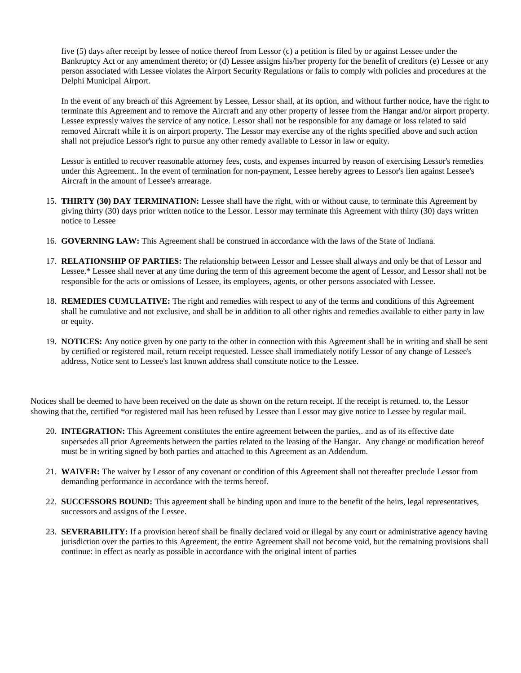five (5) days after receipt by lessee of notice thereof from Lessor (c) a petition is filed by or against Lessee under the Bankruptcy Act or any amendment thereto; or (d) Lessee assigns his/her property for the benefit of creditors (e) Lessee or any person associated with Lessee violates the Airport Security Regulations or fails to comply with policies and procedures at the Delphi Municipal Airport.

In the event of any breach of this Agreement by Lessee, Lessor shall, at its option, and without further notice, have the right to terminate this Agreement and to remove the Aircraft and any other property of lessee from the Hangar and/or airport property. Lessee expressly waives the service of any notice. Lessor shall not be responsible for any damage or loss related to said removed Aircraft while it is on airport property. The Lessor may exercise any of the rights specified above and such action shall not prejudice Lessor's right to pursue any other remedy available to Lessor in law or equity.

Lessor is entitled to recover reasonable attorney fees, costs, and expenses incurred by reason of exercising Lessor's remedies under this Agreement.. In the event of termination for non-payment, Lessee hereby agrees to Lessor's lien against Lessee's Aircraft in the amount of Lessee's arrearage.

- 15. **THIRTY (30) DAY TERMINATION:** Lessee shall have the right, with or without cause, to terminate this Agreement by giving thirty (30) days prior written notice to the Lessor. Lessor may terminate this Agreement with thirty (30) days written notice to Lessee
- 16. **GOVERNING LAW:** This Agreement shall be construed in accordance with the laws of the State of Indiana.
- 17. **RELATIONSHIP OF PARTIES:** The relationship between Lessor and Lessee shall always and only be that of Lessor and Lessee.\* Lessee shall never at any time during the term of this agreement become the agent of Lessor, and Lessor shall not be responsible for the acts or omissions of Lessee, its employees, agents, or other persons associated with Lessee.
- 18. **REMEDIES CUMULATIVE:** The right and remedies with respect to any of the terms and conditions of this Agreement shall be cumulative and not exclusive, and shall be in addition to all other rights and remedies available to either party in law or equity.
- 19. **NOTICES:** Any notice given by one party to the other in connection with this Agreement shall be in writing and shall be sent by certified or registered mail, return receipt requested. Lessee shall irnmediately notify Lessor of any change of Lessee's address, Notice sent to Lessee's last known address shall constitute notice to the Lessee.

Notices shall be deemed to have been received on the date as shown on the return receipt. If the receipt is returned. to, the Lessor showing that the, certified \*or registered mail has been refused by Lessee than Lessor may give notice to Lessee by regular mail.

- 20. **INTEGRATION:** This Agreement constitutes the entire agreement between the parties,. and as of its effective date supersedes all prior Agreements between the parties related to the leasing of the Hangar. Any change or modification hereof must be in writing signed by both parties and attached to this Agreement as an Addendum.
- 21. **WAIVER:** The waiver by Lessor of any covenant or condition of this Agreement shall not thereafter preclude Lessor from demanding performance in accordance with the terms hereof.
- 22. **SUCCESSORS BOUND:** This agreement shall be binding upon and inure to the benefit of the heirs, legal representatives, successors and assigns of the Lessee.
- 23. **SEVERABILITY:** If a provision hereof shall be finally declared void or illegal by any court or administrative agency having jurisdiction over the parties to this Agreement, the entire Agreement shall not become void, but the remaining provisions shall continue: in effect as nearly as possible in accordance with the original intent of parties